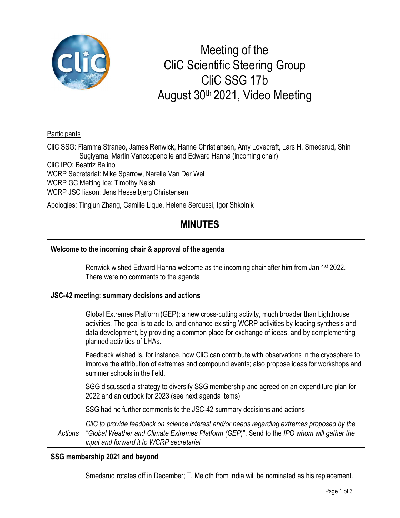

## Meeting of the CliC Scientific Steering Group CliC SSG 17b August 30th 2021, Video Meeting

## **Participants**

CliC SSG: Fiamma Straneo, James Renwick, Hanne Christiansen, Amy Lovecraft, Lars H. Smedsrud, Shin Sugiyama, Martin Vancoppenolle and Edward Hanna (incoming chair) CliC IPO: Beatriz Balino WCRP Secretariat: Mike Sparrow, Narelle Van Der Wel WCRP GC Melting Ice: Timothy Naish WCRP JSC liason: Jens Hesselbjerg Christensen

Apologies: Tingjun Zhang, Camille Lique, Helene Seroussi, Igor Shkolnik

## **MINUTES**

| Welcome to the incoming chair & approval of the agenda |                                                                                                                                                                                                                                                                                                                            |  |
|--------------------------------------------------------|----------------------------------------------------------------------------------------------------------------------------------------------------------------------------------------------------------------------------------------------------------------------------------------------------------------------------|--|
|                                                        | Renwick wished Edward Hanna welcome as the incoming chair after him from Jan 1 <sup>st</sup> 2022.<br>There were no comments to the agenda                                                                                                                                                                                 |  |
| JSC-42 meeting: summary decisions and actions          |                                                                                                                                                                                                                                                                                                                            |  |
|                                                        | Global Extremes Platform (GEP): a new cross-cutting activity, much broader than Lighthouse<br>activities. The goal is to add to, and enhance existing WCRP activities by leading synthesis and<br>data development, by providing a common place for exchange of ideas, and by complementing<br>planned activities of LHAs. |  |
|                                                        | Feedback wished is, for instance, how CliC can contribute with observations in the cryosphere to<br>improve the attribution of extremes and compound events; also propose ideas for workshops and<br>summer schools in the field.                                                                                          |  |
|                                                        | SGG discussed a strategy to diversify SSG membership and agreed on an expenditure plan for<br>2022 and an outlook for 2023 (see next agenda items)                                                                                                                                                                         |  |
|                                                        | SSG had no further comments to the JSC-42 summary decisions and actions                                                                                                                                                                                                                                                    |  |
| Actions                                                | CliC to provide feedback on science interest and/or needs regarding extremes proposed by the<br>"Global Weather and Climate Extremes Platform (GEP)". Send to the IPO whom will gather the<br>input and forward it to WCRP secretariat                                                                                     |  |
| SSG membership 2021 and beyond                         |                                                                                                                                                                                                                                                                                                                            |  |
|                                                        | Smedsrud rotates off in December; T. Meloth from India will be nominated as his replacement.                                                                                                                                                                                                                               |  |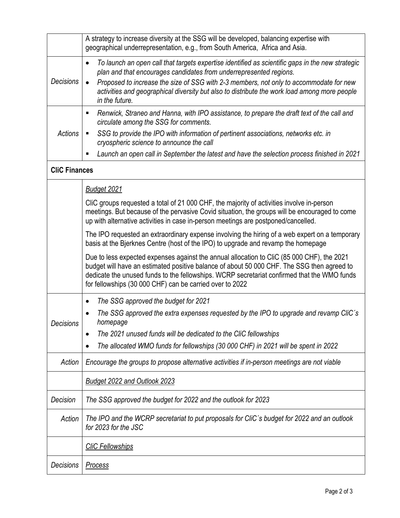|                      | A strategy to increase diversity at the SSG will be developed, balancing expertise with<br>geographical underrepresentation, e.g., from South America, Africa and Asia.                                                                                                                                                                                                                              |  |
|----------------------|------------------------------------------------------------------------------------------------------------------------------------------------------------------------------------------------------------------------------------------------------------------------------------------------------------------------------------------------------------------------------------------------------|--|
| <b>Decisions</b>     | To launch an open call that targets expertise identified as scientific gaps in the new strategic<br>٠<br>plan and that encourages candidates from underrepresented regions.<br>Proposed to increase the size of SSG with 2-3 members, not only to accommodate for new<br>$\bullet$<br>activities and geographical diversity but also to distribute the work load among more people<br>in the future. |  |
| <b>Actions</b>       | Renwick, Straneo and Hanna, with IPO assistance, to prepare the draft text of the call and<br>п<br>circulate among the SSG for comments.                                                                                                                                                                                                                                                             |  |
|                      | SSG to provide the IPO with information of pertinent associations, networks etc. in<br>Ξ<br>cryospheric science to announce the call                                                                                                                                                                                                                                                                 |  |
|                      | Launch an open call in September the latest and have the selection process finished in 2021<br>П                                                                                                                                                                                                                                                                                                     |  |
| <b>CliC Finances</b> |                                                                                                                                                                                                                                                                                                                                                                                                      |  |
|                      | <b>Budget 2021</b>                                                                                                                                                                                                                                                                                                                                                                                   |  |
|                      | CliC groups requested a total of 21 000 CHF, the majority of activities involve in-person<br>meetings. But because of the pervasive Covid situation, the groups will be encouraged to come<br>up with alternative activities in case in-person meetings are postponed/cancelled.                                                                                                                     |  |
|                      | The IPO requested an extraordinary expense involving the hiring of a web expert on a temporary<br>basis at the Bjerknes Centre (host of the IPO) to upgrade and revamp the homepage                                                                                                                                                                                                                  |  |
|                      | Due to less expected expenses against the annual allocation to CliC (85 000 CHF), the 2021<br>budget will have an estimated positive balance of about 50 000 CHF. The SSG then agreed to<br>dedicate the unused funds to the fellowships. WCRP secretariat confirmed that the WMO funds<br>for fellowships (30 000 CHF) can be carried over to 2022                                                  |  |
| <b>Decisions</b>     | The SSG approved the budget for 2021<br>$\bullet$                                                                                                                                                                                                                                                                                                                                                    |  |
|                      | The SSG approved the extra expenses requested by the IPO to upgrade and revamp CliC's<br>homepage                                                                                                                                                                                                                                                                                                    |  |
|                      | The 2021 unused funds will be dedicated to the CliC fellowships                                                                                                                                                                                                                                                                                                                                      |  |
|                      | The allocated WMO funds for fellowships (30 000 CHF) in 2021 will be spent in 2022                                                                                                                                                                                                                                                                                                                   |  |
| Action               | Encourage the groups to propose alternative activities if in-person meetings are not viable                                                                                                                                                                                                                                                                                                          |  |
|                      | Budget 2022 and Outlook 2023                                                                                                                                                                                                                                                                                                                                                                         |  |
| Decision             | The SSG approved the budget for 2022 and the outlook for 2023                                                                                                                                                                                                                                                                                                                                        |  |
| Action               | The IPO and the WCRP secretariat to put proposals for CliC's budget for 2022 and an outlook<br>for 2023 for the JSC                                                                                                                                                                                                                                                                                  |  |
|                      | <b>CliC Fellowships</b>                                                                                                                                                                                                                                                                                                                                                                              |  |
| Decisions            | <b>Process</b>                                                                                                                                                                                                                                                                                                                                                                                       |  |